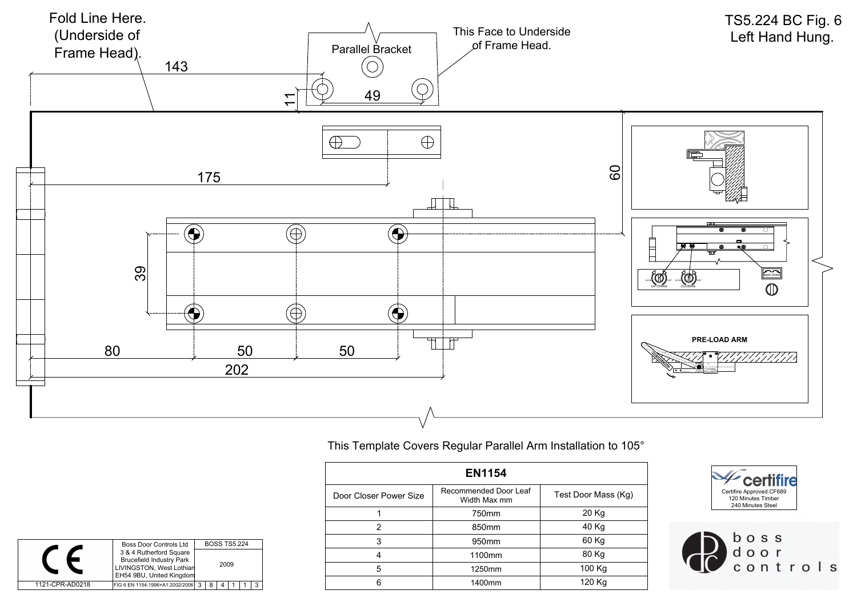

## TS5.224 BC Fig. 6

| <b>EN1154</b>          |                                       |                     |  |  |
|------------------------|---------------------------------------|---------------------|--|--|
| Door Closer Power Size | Recommended Door Leaf<br>Width Max mm | Test Door Mass (Kg) |  |  |
|                        | 750mm                                 | 20 Kg               |  |  |
| ົ                      | 850mm                                 | 40 Kg               |  |  |
| 3                      | 950mm                                 | 60 Kg               |  |  |
| 4                      | 1100mm                                | 80 Kg               |  |  |
| 5                      | 1250mm                                | 100 Kg              |  |  |
| 6                      | 1400mm                                | 120 Kg              |  |  |

|                 | <b>Boss Door Controls Ltd</b>                              |      | <b>BOSS TS5.224</b> |  |  |
|-----------------|------------------------------------------------------------|------|---------------------|--|--|
|                 | 3 & 4 Rutherford Square<br><b>Brucefield Industry Park</b> | 2009 |                     |  |  |
|                 | LIVINGSTON, West Lothian<br>EH54 9BU, United Kingdom       |      |                     |  |  |
|                 |                                                            |      |                     |  |  |
| 1121-CPR-AD0218 | FIG 6 EN 1154:1996+A1:2002/2006 3                          | 8    |                     |  |  |

This Template Covers Regular Parallel Arm Installation to 105°